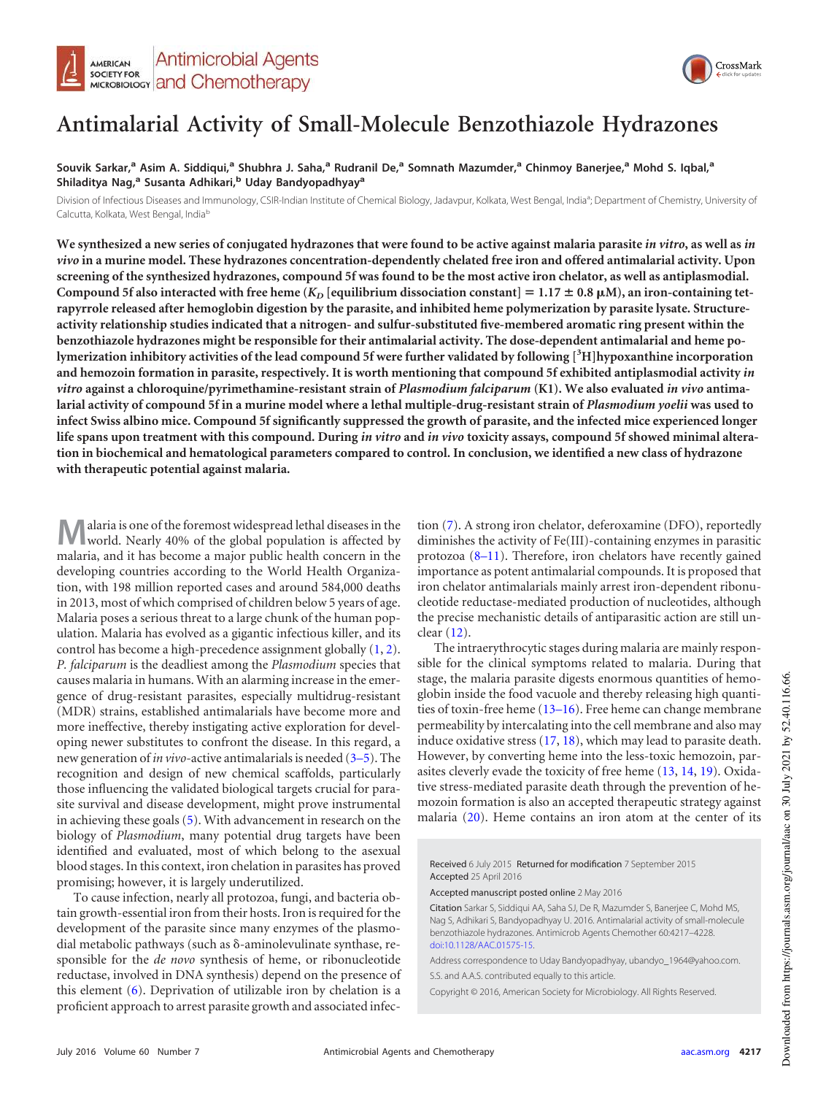



# **Antimalarial Activity of Small-Molecule Benzothiazole Hydrazones**

## **Souvik Sarkar,<sup>a</sup> Asim A. Siddiqui,<sup>a</sup> Shubhra J. Saha,<sup>a</sup> Rudranil De,<sup>a</sup> Somnath Mazumder,<sup>a</sup> Chinmoy Banerjee,<sup>a</sup> Mohd S. Iqbal,<sup>a</sup> Shiladitya Nag,<sup>a</sup> Susanta Adhikari,<sup>b</sup> Uday Bandyopadhyay<sup>a</sup>**

Division of Infectious Diseases and Immunology, CSIR-Indian Institute of Chemical Biology, Jadavpur, Kolkata, West Bengal, India<sup>a</sup>; Department of Chemistry, University of Calcutta, Kolkata, West Bengal, India<sup>b</sup>

**We synthesized a new series of conjugated hydrazones that were found to be active against malaria parasite** *in vitro***, as well as** *in vivo* **in a murine model. These hydrazones concentration-dependently chelated free iron and offered antimalarial activity. Upon screening of the synthesized hydrazones, compound 5f was found to be the most active iron chelator, as well as antiplasmodial.** Compound 5f also interacted with free heme ( $K_D$  [equilibrium dissociation constant] = 1.17  $\pm$  0.8  $\mu$ M), an iron-containing tet**rapyrrole released after hemoglobin digestion by the parasite, and inhibited heme polymerization by parasite lysate. Structureactivity relationship studies indicated that a nitrogen- and sulfur-substituted five-membered aromatic ring present within the benzothiazole hydrazones might be responsible for their antimalarial activity. The dose-dependent antimalarial and heme polymerization inhibitory activities of the lead compound 5f were further validated by following [3H]hypoxanthine incorporation and hemozoin formation in parasite, respectively. It is worth mentioning that compound 5f exhibited antiplasmodial activity** *in vitro* **against a chloroquine/pyrimethamine-resistant strain of** *Plasmodium falciparum* **(K1). We also evaluated** *in vivo* **antimalarial activity of compound 5f in a murine model where a lethal multiple-drug-resistant strain of** *Plasmodium yoelii* **was used to infect Swiss albino mice. Compound 5f significantly suppressed the growth of parasite, and the infected mice experienced longer life spans upon treatment with this compound. During** *in vitro* **and** *in vivo* **toxicity assays, compound 5f showed minimal alteration in biochemical and hematological parameters compared to control. In conclusion, we identified a new class of hydrazone with therapeutic potential against malaria.**

**M** alaria is one of the foremost widespread lethal diseases in the world. Nearly 40% of the global population is affected by malaria, and it has become a major public health concern in the alaria is one of the foremost widespread lethal diseases in the world. Nearly 40% of the global population is affected by developing countries according to the World Health Organization, with 198 million reported cases and around 584,000 deaths in 2013, most of which comprised of children below 5 years of age. Malaria poses a serious threat to a large chunk of the human population. Malaria has evolved as a gigantic infectious killer, and its control has become a high-precedence assignment globally [\(1,](#page-10-0) [2\)](#page-10-1). *P. falciparum* is the deadliest among the *Plasmodium* species that causes malaria in humans. With an alarming increase in the emergence of drug-resistant parasites, especially multidrug-resistant (MDR) strains, established antimalarials have become more and more ineffective, thereby instigating active exploration for developing newer substitutes to confront the disease. In this regard, a new generation of *in vivo*-active antimalarials is needed [\(3](#page-10-2)[–](#page-10-3)[5\)](#page-10-4). The recognition and design of new chemical scaffolds, particularly those influencing the validated biological targets crucial for parasite survival and disease development, might prove instrumental in achieving these goals [\(5\)](#page-10-4). With advancement in research on the biology of *Plasmodium*, many potential drug targets have been identified and evaluated, most of which belong to the asexual blood stages. In this context, iron chelation in parasites has proved promising; however, it is largely underutilized.

To cause infection, nearly all protozoa, fungi, and bacteria obtain growth-essential iron from their hosts. Iron is required for the development of the parasite since many enzymes of the plasmodial metabolic pathways (such as  $\delta$ -aminolevulinate synthase, responsible for the *de novo* synthesis of heme, or ribonucleotide reductase, involved in DNA synthesis) depend on the presence of this element [\(6\)](#page-10-5). Deprivation of utilizable iron by chelation is a proficient approach to arrest parasite growth and associated infec-

tion [\(7\)](#page-10-6). A strong iron chelator, deferoxamine (DFO), reportedly diminishes the activity of Fe(III)-containing enzymes in parasitic protozoa [\(8](#page-10-7)[–](#page-10-8)[11\)](#page-10-9). Therefore, iron chelators have recently gained importance as potent antimalarial compounds. It is proposed that iron chelator antimalarials mainly arrest iron-dependent ribonucleotide reductase-mediated production of nucleotides, although the precise mechanistic details of antiparasitic action are still unclear [\(12\)](#page-10-10).

The intraerythrocytic stages during malaria are mainly responsible for the clinical symptoms related to malaria. During that stage, the malaria parasite digests enormous quantities of hemoglobin inside the food vacuole and thereby releasing high quantities of toxin-free heme [\(13](#page-10-11)[–](#page-10-12)[16\)](#page-10-13). Free heme can change membrane permeability by intercalating into the cell membrane and also may induce oxidative stress [\(17,](#page-10-14) [18\)](#page-10-15), which may lead to parasite death. However, by converting heme into the less-toxic hemozoin, parasites cleverly evade the toxicity of free heme [\(13,](#page-10-11) [14,](#page-10-16) [19\)](#page-10-17). Oxidative stress-mediated parasite death through the prevention of hemozoin formation is also an accepted therapeutic strategy against malaria [\(20\)](#page-10-18). Heme contains an iron atom at the center of its

Received 6 July 2015 Returned for modification 7 September 2015 Accepted 25 April 2016

Accepted manuscript posted online 2 May 2016

Citation Sarkar S, Siddiqui AA, Saha SJ, De R, Mazumder S, Banerjee C, Mohd MS, Nag S, Adhikari S, Bandyopadhyay U. 2016. Antimalarial activity of small-molecule benzothiazole hydrazones. Antimicrob Agents Chemother 60:4217–4228. doi:10.1128/AAC.01575-15.

Address correspondence to Uday Bandyopadhyay, ubandyo\_1964@yahoo.com. S.S. and A.A.S. contributed equally to this article.

Copyright © 2016, American Society for Microbiology. All Rights Reserved.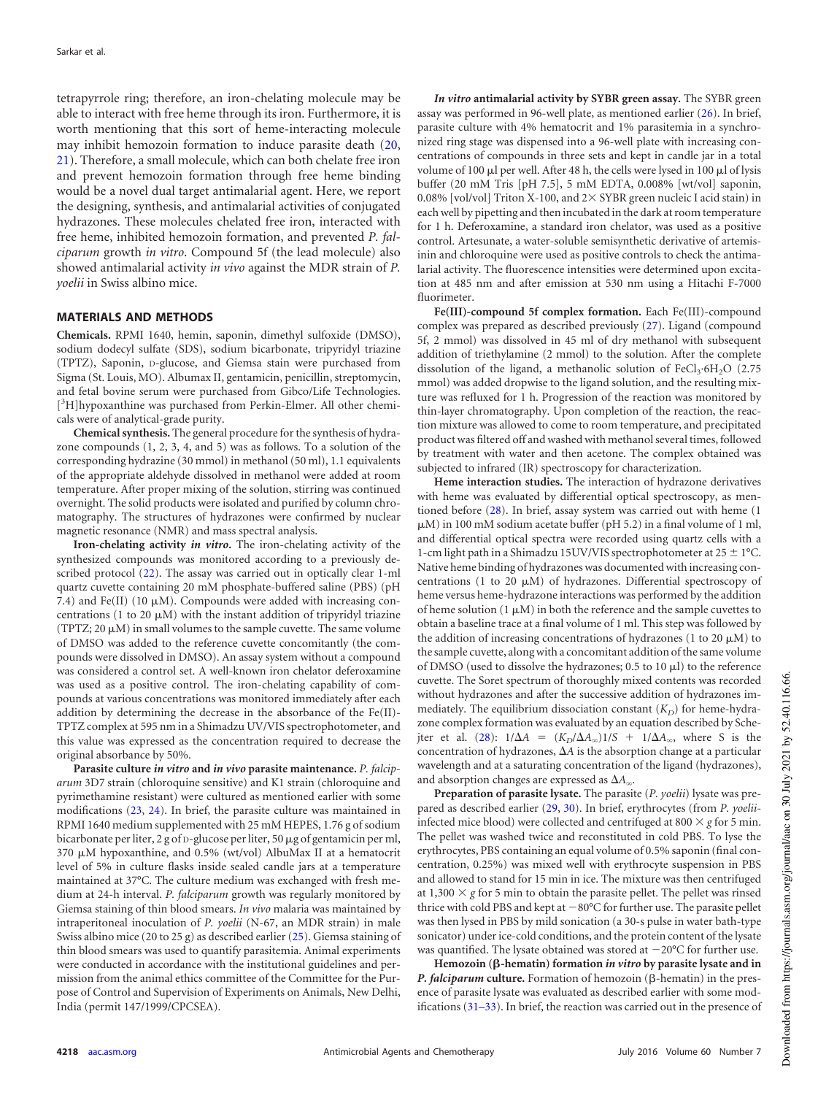tetrapyrrole ring; therefore, an iron-chelating molecule may be able to interact with free heme through its iron. Furthermore, it is worth mentioning that this sort of heme-interacting molecule may inhibit hemozoin formation to induce parasite death [\(20,](#page-10-18) [21\)](#page-10-19). Therefore, a small molecule, which can both chelate free iron and prevent hemozoin formation through free heme binding would be a novel dual target antimalarial agent. Here, we report the designing, synthesis, and antimalarial activities of conjugated hydrazones. These molecules chelated free iron, interacted with free heme, inhibited hemozoin formation, and prevented *P. falciparum* growth *in vitro*. Compound 5f (the lead molecule) also showed antimalarial activity *in vivo* against the MDR strain of *P. yoelii* in Swiss albino mice.

#### **MATERIALS AND METHODS**

**Chemicals.** RPMI 1640, hemin, saponin, dimethyl sulfoxide (DMSO), sodium dodecyl sulfate (SDS), sodium bicarbonate, tripyridyl triazine (TPTZ), Saponin, D-glucose, and Giemsa stain were purchased from Sigma (St. Louis, MO). Albumax II, gentamicin, penicillin, streptomycin, and fetal bovine serum were purchased from Gibco/Life Technologies. [<sup>3</sup>H]hypoxanthine was purchased from Perkin-Elmer. All other chemicals were of analytical-grade purity.

**Chemical synthesis.** The general procedure for the synthesis of hydrazone compounds (1, 2, 3, 4, and 5) was as follows. To a solution of the corresponding hydrazine (30 mmol) in methanol (50 ml), 1.1 equivalents of the appropriate aldehyde dissolved in methanol were added at room temperature. After proper mixing of the solution, stirring was continued overnight. The solid products were isolated and purified by column chromatography. The structures of hydrazones were confirmed by nuclear magnetic resonance (NMR) and mass spectral analysis.

**Iron-chelating activity** *in vitro***.** The iron-chelating activity of the synthesized compounds was monitored according to a previously described protocol [\(22\)](#page-10-20). The assay was carried out in optically clear 1-ml quartz cuvette containing 20 mM phosphate-buffered saline (PBS) (pH 7.4) and Fe(II) (10  $\mu$ M). Compounds were added with increasing concentrations (1 to 20  $\mu$ M) with the instant addition of tripyridyl triazine (TPTZ; 20  $\mu$ M) in small volumes to the sample cuvette. The same volume of DMSO was added to the reference cuvette concomitantly (the compounds were dissolved in DMSO). An assay system without a compound was considered a control set. A well-known iron chelator deferoxamine was used as a positive control. The iron-chelating capability of compounds at various concentrations was monitored immediately after each addition by determining the decrease in the absorbance of the Fe(II)- TPTZ complex at 595 nm in a Shimadzu UV/VIS spectrophotometer, and this value was expressed as the concentration required to decrease the original absorbance by 50%.

**Parasite culture** *in vitro* **and** *in vivo* **parasite maintenance.** *P. falciparum* 3D7 strain (chloroquine sensitive) and K1 strain (chloroquine and pyrimethamine resistant) were cultured as mentioned earlier with some modifications [\(23,](#page-11-0) [24\)](#page-11-1). In brief, the parasite culture was maintained in RPMI 1640 medium supplemented with 25 mM HEPES, 1.76 g of sodium bicarbonate per liter, 2 g of D-glucose per liter, 50  $\mu$ g of gentamicin per ml, 370  $\mu$ M hypoxanthine, and 0.5% (wt/vol) AlbuMax II at a hematocrit level of 5% in culture flasks inside sealed candle jars at a temperature maintained at 37°C. The culture medium was exchanged with fresh medium at 24-h interval. *P. falciparum* growth was regularly monitored by Giemsa staining of thin blood smears. *In vivo* malaria was maintained by intraperitoneal inoculation of *P. yoelii* (N-67, an MDR strain) in male Swiss albino mice (20 to 25 g) as described earlier [\(25\)](#page-11-2). Giemsa staining of thin blood smears was used to quantify parasitemia. Animal experiments were conducted in accordance with the institutional guidelines and permission from the animal ethics committee of the Committee for the Purpose of Control and Supervision of Experiments on Animals, New Delhi, India (permit 147/1999/CPCSEA).

*In vitro* **antimalarial activity by SYBR green assay.** The SYBR green assay was performed in 96-well plate, as mentioned earlier [\(26\)](#page-11-3). In brief, parasite culture with 4% hematocrit and 1% parasitemia in a synchronized ring stage was dispensed into a 96-well plate with increasing concentrations of compounds in three sets and kept in candle jar in a total volume of 100  $\mu$ l per well. After 48 h, the cells were lysed in 100  $\mu$ l of lysis buffer (20 mM Tris [pH 7.5], 5 mM EDTA, 0.008% [wt/vol] saponin, 0.08% [vol/vol] Triton X-100, and  $2 \times$  SYBR green nucleic I acid stain) in each well by pipetting and then incubated in the dark at room temperature for 1 h. Deferoxamine, a standard iron chelator, was used as a positive control. Artesunate, a water-soluble semisynthetic derivative of artemisinin and chloroquine were used as positive controls to check the antimalarial activity. The fluorescence intensities were determined upon excitation at 485 nm and after emission at 530 nm using a Hitachi F-7000 fluorimeter.

**Fe(III)-compound 5f complex formation.** Each Fe(III)-compound complex was prepared as described previously [\(27\)](#page-11-4). Ligand (compound 5f, 2 mmol) was dissolved in 45 ml of dry methanol with subsequent addition of triethylamine (2 mmol) to the solution. After the complete dissolution of the ligand, a methanolic solution of  $FeCl<sub>3</sub>·6H<sub>2</sub>O$  (2.75 mmol) was added dropwise to the ligand solution, and the resulting mixture was refluxed for 1 h. Progression of the reaction was monitored by thin-layer chromatography. Upon completion of the reaction, the reaction mixture was allowed to come to room temperature, and precipitated product was filtered off and washed with methanol several times, followed by treatment with water and then acetone. The complex obtained was subjected to infrared (IR) spectroscopy for characterization.

**Heme interaction studies.** The interaction of hydrazone derivatives with heme was evaluated by differential optical spectroscopy, as mentioned before [\(28\)](#page-11-5). In brief, assay system was carried out with heme (1  $\mu$ M) in 100 mM sodium acetate buffer (pH 5.2) in a final volume of 1 ml, and differential optical spectra were recorded using quartz cells with a 1-cm light path in a Shimadzu 15UV/VIS spectrophotometer at  $25 \pm 1^{\circ}$ C. Native heme binding of hydrazones was documented with increasing concentrations (1 to 20  $\mu$ M) of hydrazones. Differential spectroscopy of heme versus heme-hydrazone interactions was performed by the addition of heme solution (1  $\mu$ M) in both the reference and the sample cuvettes to obtain a baseline trace at a final volume of 1 ml. This step was followed by the addition of increasing concentrations of hydrazones (1 to 20  $\mu$ M) to the sample cuvette, along with a concomitant addition of the same volume of DMSO (used to dissolve the hydrazones; 0.5 to 10  $\mu$ l) to the reference cuvette. The Soret spectrum of thoroughly mixed contents was recorded without hydrazones and after the successive addition of hydrazones immediately. The equilibrium dissociation constant (*K<sub>D</sub>*) for heme-hydrazone complex formation was evaluated by an equation described by Sche-jter et al. [\(28\)](#page-11-5):  $1/\Delta A = (K_D/\Delta A_\infty)1/S + 1/\Delta A_\infty$ , where S is the concentration of hydrazones,  $\Delta A$  is the absorption change at a particular wavelength and at a saturating concentration of the ligand (hydrazones), and absorption changes are expressed as  $\Delta A_\infty$ .

**Preparation of parasite lysate.** The parasite (*P. yoelii*) lysate was prepared as described earlier [\(29,](#page-11-6) [30\)](#page-11-7). In brief, erythrocytes (from *P. yoelii*infected mice blood) were collected and centrifuged at  $800 \times g$  for 5 min. The pellet was washed twice and reconstituted in cold PBS. To lyse the erythrocytes, PBS containing an equal volume of 0.5% saponin (final concentration, 0.25%) was mixed well with erythrocyte suspension in PBS and allowed to stand for 15 min in ice. The mixture was then centrifuged at 1,300  $\times$  g for 5 min to obtain the parasite pellet. The pellet was rinsed thrice with cold PBS and kept at 80°C for further use. The parasite pellet was then lysed in PBS by mild sonication (a 30-s pulse in water bath-type sonicator) under ice-cold conditions, and the protein content of the lysate was quantified. The lysate obtained was stored at 20°C for further use.

**Hemozoin (-hematin) formation** *in vitro* **by parasite lysate and in** *P. falciparum* culture. Formation of hemozoin ( $\beta$ -hematin) in the presence of parasite lysate was evaluated as described earlier with some modifications [\(31](#page-11-8)[–](#page-11-9)[33\)](#page-11-10). In brief, the reaction was carried out in the presence of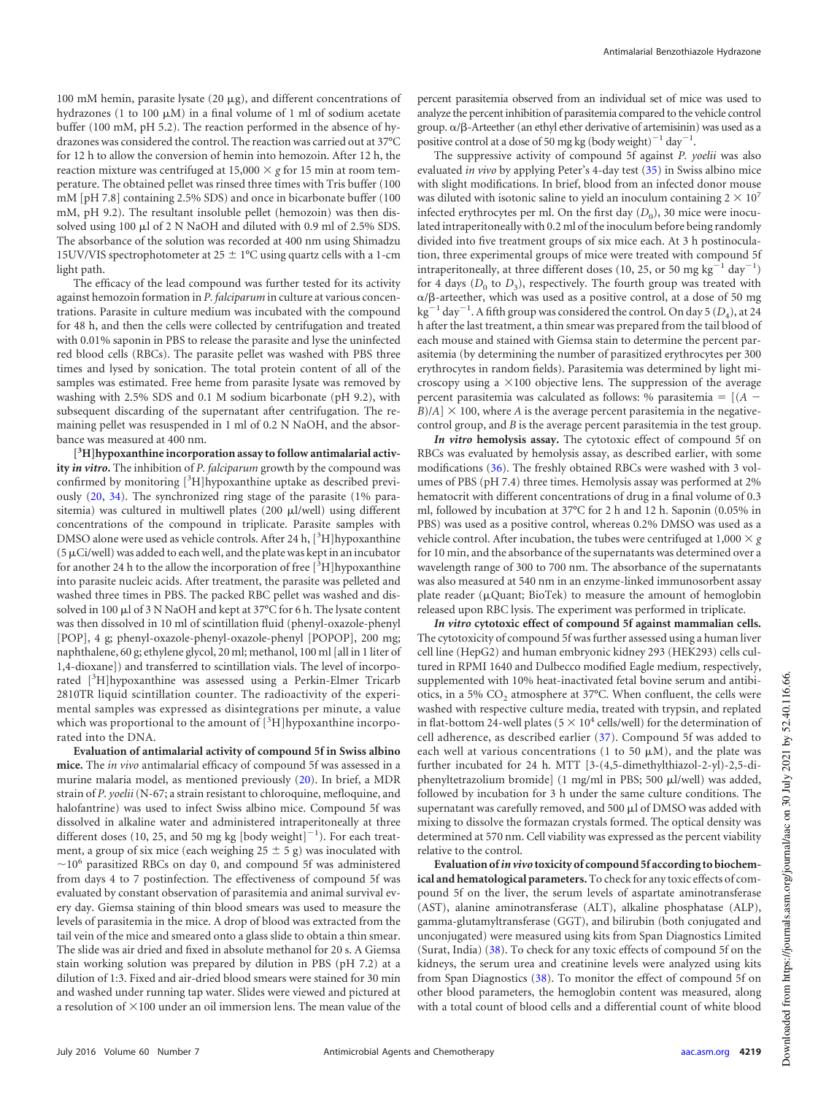100 mM hemin, parasite lysate (20  $\mu$ g), and different concentrations of hydrazones (1 to 100  $\mu$ M) in a final volume of 1 ml of sodium acetate buffer (100 mM, pH 5.2). The reaction performed in the absence of hydrazones was considered the control. The reaction was carried out at 37°C for 12 h to allow the conversion of hemin into hemozoin. After 12 h, the reaction mixture was centrifuged at  $15,000 \times g$  for 15 min at room temperature. The obtained pellet was rinsed three times with Tris buffer (100 mM [pH 7.8] containing 2.5% SDS) and once in bicarbonate buffer (100 mM, pH 9.2). The resultant insoluble pellet (hemozoin) was then dissolved using 100  $\mu$ l of 2 N NaOH and diluted with 0.9 ml of 2.5% SDS. The absorbance of the solution was recorded at 400 nm using Shimadzu 15UV/VIS spectrophotometer at 25  $\pm$  1°C using quartz cells with a 1-cm light path.

The efficacy of the lead compound was further tested for its activity against hemozoin formation in *P. falciparum* in culture at various concentrations. Parasite in culture medium was incubated with the compound for 48 h, and then the cells were collected by centrifugation and treated with 0.01% saponin in PBS to release the parasite and lyse the uninfected red blood cells (RBCs). The parasite pellet was washed with PBS three times and lysed by sonication. The total protein content of all of the samples was estimated. Free heme from parasite lysate was removed by washing with 2.5% SDS and 0.1 M sodium bicarbonate (pH 9.2), with subsequent discarding of the supernatant after centrifugation. The remaining pellet was resuspended in 1 ml of 0.2 N NaOH, and the absorbance was measured at 400 nm.

**[ <sup>3</sup>H]hypoxanthine incorporation assay to follow antimalarial activity** *in vitro***.** The inhibition of *P. falciparum* growth by the compound was confirmed by monitoring  $[{}^{3}H]$ hypoxanthine uptake as described previously [\(20,](#page-10-18) [34\)](#page-11-11). The synchronized ring stage of the parasite (1% parasitemia) was cultured in multiwell plates (200 µl/well) using different concentrations of the compound in triplicate. Parasite samples with DMSO alone were used as vehicle controls. After 24 h,  $[3H]$ hypoxanthine ( $5 \mu$ Ci/well) was added to each well, and the plate was kept in an incubator for another 24 h to the allow the incorporation of free  $[^3H]$ hypoxanthine into parasite nucleic acids. After treatment, the parasite was pelleted and washed three times in PBS. The packed RBC pellet was washed and dissolved in 100 µl of 3 N NaOH and kept at 37°C for 6 h. The lysate content was then dissolved in 10 ml of scintillation fluid (phenyl-oxazole-phenyl [POP], 4 g; phenyl-oxazole-phenyl-oxazole-phenyl [POPOP], 200 mg; naphthalene, 60 g; ethylene glycol, 20 ml; methanol, 100 ml [all in 1 liter of 1,4-dioxane]) and transferred to scintillation vials. The level of incorporated [3H]hypoxanthine was assessed using a Perkin-Elmer Tricarb 2810TR liquid scintillation counter. The radioactivity of the experimental samples was expressed as disintegrations per minute, a value which was proportional to the amount of  $[{}^{3}H]$ hypoxanthine incorporated into the DNA.

**Evaluation of antimalarial activity of compound 5f in Swiss albino mice.** The *in vivo* antimalarial efficacy of compound 5f was assessed in a murine malaria model, as mentioned previously [\(20\)](#page-10-18). In brief, a MDR strain of *P. yoelii*(N-67; a strain resistant to chloroquine, mefloquine, and halofantrine) was used to infect Swiss albino mice. Compound 5f was dissolved in alkaline water and administered intraperitoneally at three different doses (10, 25, and 50 mg kg [body weight] $^{-1}$ ). For each treatment, a group of six mice (each weighing  $25 \pm 5$  g) was inoculated with  $\sim$ 10<sup>6</sup> parasitized RBCs on day 0, and compound 5f was administered from days 4 to 7 postinfection. The effectiveness of compound 5f was evaluated by constant observation of parasitemia and animal survival every day. Giemsa staining of thin blood smears was used to measure the levels of parasitemia in the mice. A drop of blood was extracted from the tail vein of the mice and smeared onto a glass slide to obtain a thin smear. The slide was air dried and fixed in absolute methanol for 20 s. A Giemsa stain working solution was prepared by dilution in PBS (pH 7.2) at a dilution of 1:3. Fixed and air-dried blood smears were stained for 30 min and washed under running tap water. Slides were viewed and pictured at a resolution of  $\times$ 100 under an oil immersion lens. The mean value of the

percent parasitemia observed from an individual set of mice was used to analyze the percent inhibition of parasitemia compared to the vehicle control group.  $\alpha/\beta$ -Arteether (an ethyl ether derivative of artemisinin) was used as a positive control at a dose of 50 mg kg (body weight)<sup>-1</sup> day<sup>-1</sup>.

The suppressive activity of compound 5f against *P. yoelii* was also evaluated *in vivo* by applying Peter's 4-day test [\(35\)](#page-11-12) in Swiss albino mice with slight modifications. In brief, blood from an infected donor mouse was diluted with isotonic saline to yield an inoculum containing  $2 \times 10^7$ infected erythrocytes per ml. On the first day  $(D_0)$ , 30 mice were inoculated intraperitoneally with 0.2 ml of the inoculum before being randomly divided into five treatment groups of six mice each. At 3 h postinoculation, three experimental groups of mice were treated with compound 5f intraperitoneally, at three different doses (10, 25, or 50 mg kg<sup>-1</sup> day<sup>-1</sup>) for 4 days  $(D_0$  to  $D_3$ ), respectively. The fourth group was treated with  $\alpha$ / $\beta$ -arteether, which was used as a positive control, at a dose of 50 mg  $\text{kg}^{-1}$  day<sup>-1</sup>. A fifth group was considered the control. On day 5  $(D_4)$ , at 24 h after the last treatment, a thin smear was prepared from the tail blood of each mouse and stained with Giemsa stain to determine the percent parasitemia (by determining the number of parasitized erythrocytes per 300 erythrocytes in random fields). Parasitemia was determined by light microscopy using a  $\times$ 100 objective lens. The suppression of the average percent parasitemia was calculated as follows: % parasitemia =  $[(A B$ / $A$ ]  $\times$  100, where  $A$  is the average percent parasitemia in the negativecontrol group, and *B* is the average percent parasitemia in the test group.

*In vitro* **hemolysis assay.** The cytotoxic effect of compound 5f on RBCs was evaluated by hemolysis assay, as described earlier, with some modifications [\(36\)](#page-11-13). The freshly obtained RBCs were washed with 3 volumes of PBS (pH 7.4) three times. Hemolysis assay was performed at 2% hematocrit with different concentrations of drug in a final volume of 0.3 ml, followed by incubation at 37°C for 2 h and 12 h. Saponin (0.05% in PBS) was used as a positive control, whereas 0.2% DMSO was used as a vehicle control. After incubation, the tubes were centrifuged at  $1,000 \times g$ for 10 min, and the absorbance of the supernatants was determined over a wavelength range of 300 to 700 nm. The absorbance of the supernatants was also measured at 540 nm in an enzyme-linked immunosorbent assay plate reader (µQuant; BioTek) to measure the amount of hemoglobin released upon RBC lysis. The experiment was performed in triplicate.

*In vitro* **cytotoxic effect of compound 5f against mammalian cells.** The cytotoxicity of compound 5f was further assessed using a human liver cell line (HepG2) and human embryonic kidney 293 (HEK293) cells cultured in RPMI 1640 and Dulbecco modified Eagle medium, respectively, supplemented with 10% heat-inactivated fetal bovine serum and antibiotics, in a 5%  $CO_2$  atmosphere at 37°C. When confluent, the cells were washed with respective culture media, treated with trypsin, and replated in flat-bottom 24-well plates (5  $\times$  10<sup>4</sup> cells/well) for the determination of cell adherence, as described earlier [\(37\)](#page-11-14). Compound 5f was added to each well at various concentrations (1 to 50  $\mu$ M), and the plate was further incubated for 24 h. MTT [3-(4,5-dimethylthiazol-2-yl)-2,5-diphenyltetrazolium bromide] (1 mg/ml in PBS; 500 µl/well) was added, followed by incubation for 3 h under the same culture conditions. The supernatant was carefully removed, and 500  $\mu$ l of DMSO was added with mixing to dissolve the formazan crystals formed. The optical density was determined at 570 nm. Cell viability was expressed as the percent viability relative to the control.

**Evaluation of***in vivo* **toxicity of compound 5f according to biochemical and hematological parameters.** To check for any toxic effects of compound 5f on the liver, the serum levels of aspartate aminotransferase (AST), alanine aminotransferase (ALT), alkaline phosphatase (ALP), gamma-glutamyltransferase (GGT), and bilirubin (both conjugated and unconjugated) were measured using kits from Span Diagnostics Limited (Surat, India) [\(38\)](#page-11-15). To check for any toxic effects of compound 5f on the kidneys, the serum urea and creatinine levels were analyzed using kits from Span Diagnostics [\(38\)](#page-11-15). To monitor the effect of compound 5f on other blood parameters, the hemoglobin content was measured, along with a total count of blood cells and a differential count of white blood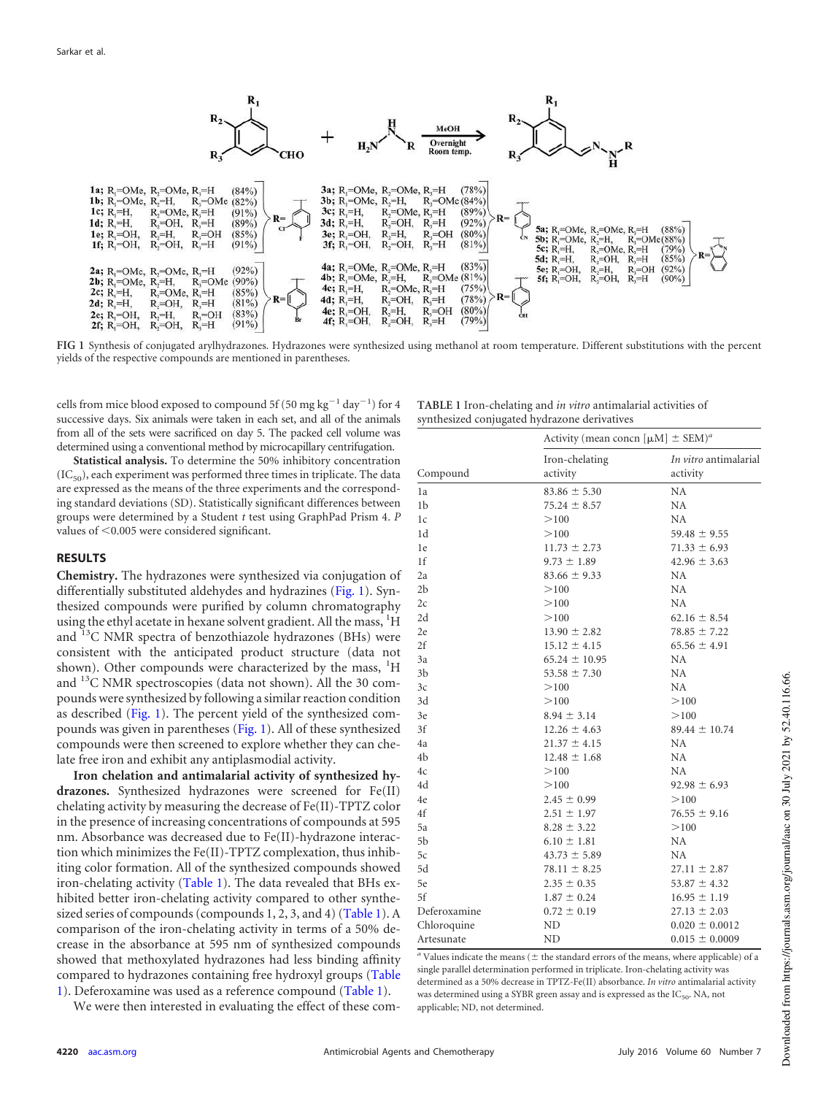

<span id="page-3-0"></span>**FIG 1** Synthesis of conjugated arylhydrazones. Hydrazones were synthesized using methanol at room temperature. Different substitutions with the percent yields of the respective compounds are mentioned in parentheses.

cells from mice blood exposed to compound 5f (50 mg kg $^{-1}$  day $^{-1}$ ) for 4 successive days. Six animals were taken in each set, and all of the animals from all of the sets were sacrificed on day 5. The packed cell volume was determined using a conventional method by microcapillary centrifugation.

**Statistical analysis.** To determine the 50% inhibitory concentration  $(IC_{50})$ , each experiment was performed three times in triplicate. The data are expressed as the means of the three experiments and the corresponding standard deviations (SD). Statistically significant differences between groups were determined by a Student *t* test using GraphPad Prism 4. *P* values of  $<$  0.005 were considered significant.

#### **RESULTS**

**Chemistry.** The hydrazones were synthesized via conjugation of differentially substituted aldehydes and hydrazines [\(Fig. 1\)](#page-3-0). Synthesized compounds were purified by column chromatography using the ethyl acetate in hexane solvent gradient. All the mass, <sup>1</sup>H and  $^{13}$ C NMR spectra of benzothiazole hydrazones (BHs) were consistent with the anticipated product structure (data not shown). Other compounds were characterized by the mass,  ${}^{1}H$ and  $^{13}$ C NMR spectroscopies (data not shown). All the 30 compounds were synthesized by following a similar reaction condition as described [\(Fig. 1\)](#page-3-0). The percent yield of the synthesized compounds was given in parentheses [\(Fig. 1\)](#page-3-0). All of these synthesized compounds were then screened to explore whether they can chelate free iron and exhibit any antiplasmodial activity.

**Iron chelation and antimalarial activity of synthesized hydrazones.** Synthesized hydrazones were screened for Fe(II) chelating activity by measuring the decrease of Fe(II)-TPTZ color in the presence of increasing concentrations of compounds at 595 nm. Absorbance was decreased due to Fe(II)-hydrazone interaction which minimizes the Fe(II)-TPTZ complexation, thus inhibiting color formation. All of the synthesized compounds showed iron-chelating activity [\(Table 1\)](#page-3-1). The data revealed that BHs exhibited better iron-chelating activity compared to other synthesized series of compounds (compounds 1, 2, 3, and 4) [\(Table 1\)](#page-3-1). A comparison of the iron-chelating activity in terms of a 50% decrease in the absorbance at 595 nm of synthesized compounds showed that methoxylated hydrazones had less binding affinity compared to hydrazones containing free hydroxyl groups [\(Table](#page-3-1) [1\)](#page-3-1). Deferoxamine was used as a reference compound [\(Table 1\)](#page-3-1).

We were then interested in evaluating the effect of these com-

<span id="page-3-1"></span>**TABLE 1** Iron-chelating and *in vitro* antimalarial activities of synthesized conjugated hydrazone derivatives

|                | Activity (mean concn [ $\mu$ M] $\pm$ SEM) <sup>a</sup> |                       |
|----------------|---------------------------------------------------------|-----------------------|
|                | Iron-chelating                                          | In vitro antimalarial |
| Compound       | activity                                                | activity              |
| 1a             | $83.86 \pm 5.30$                                        | NA                    |
| 1b             | $75.24 \pm 8.57$                                        | NA.                   |
| 1c             | >100                                                    | NA.                   |
| 1d             | >100                                                    | $59.48 \pm 9.55$      |
| 1e             | $11.73 \pm 2.73$                                        | $71.33 \pm 6.93$      |
| 1f             | $9.73 \pm 1.89$                                         | $42.96 \pm 3.63$      |
| 2a             | $83.66 \pm 9.33$                                        | <b>NA</b>             |
| 2 <sub>b</sub> | >100                                                    | NA.                   |
| 2c             | >100                                                    | NA.                   |
| 2d             | >100                                                    | $62.16 \pm 8.54$      |
| 2e             | $13.90 \pm 2.82$                                        | $78.85 \pm 7.22$      |
| 2f             | $15.12 \pm 4.15$                                        | $65.56 \pm 4.91$      |
| 3a             | $65.24 \pm 10.95$                                       | <b>NA</b>             |
| 3 <sub>b</sub> | $53.58 \pm 7.30$                                        | NA.                   |
| 3c             | >100                                                    | NA                    |
| 3d             | >100                                                    | >100                  |
| 3e             | $8.94 \pm 3.14$                                         | >100                  |
| 3f             | $12.26 \pm 4.63$                                        | $89.44 \pm 10.74$     |
| 4a             | $21.37 \pm 4.15$                                        | <b>NA</b>             |
| 4b             | $12.48 \pm 1.68$                                        | <b>NA</b>             |
| 4c             | >100                                                    | NA.                   |
| 4d             | >100                                                    | $92.98 \pm 6.93$      |
| 4e             | $2.45 \pm 0.99$                                         | >100                  |
| 4f             | $2.51 \pm 1.97$                                         | $76.55 \pm 9.16$      |
| 5a             | $8.28 \pm 3.22$                                         | >100                  |
| 5 <sub>b</sub> | $6.10 \pm 1.81$                                         | <b>NA</b>             |
| 5c             | $43.73 \pm 5.89$                                        | <b>NA</b>             |
| 5d             | $78.11 \pm 8.25$                                        | $27.11 \pm 2.87$      |
| 5e             | $2.35 \pm 0.35$                                         | $53.87 \pm 4.32$      |
| 5f             | $1.87 \pm 0.24$                                         | $16.95 \pm 1.19$      |
| Deferoxamine   | $0.72 \pm 0.19$                                         | $27.13 \pm 2.03$      |
| Chloroquine    | <b>ND</b>                                               | $0.020 \pm 0.0012$    |
| Artesunate     | ND                                                      | $0.015 \pm 0.0009$    |

<sup>*a*</sup> Values indicate the means ( $\pm$  the standard errors of the means, where applicable) of a single parallel determination performed in triplicate. Iron-chelating activity was determined as a 50% decrease in TPTZ-Fe(II) absorbance. *In vitro* antimalarial activity was determined using a SYBR green assay and is expressed as the  $IC_{50}$ . NA, not applicable; ND, not determined.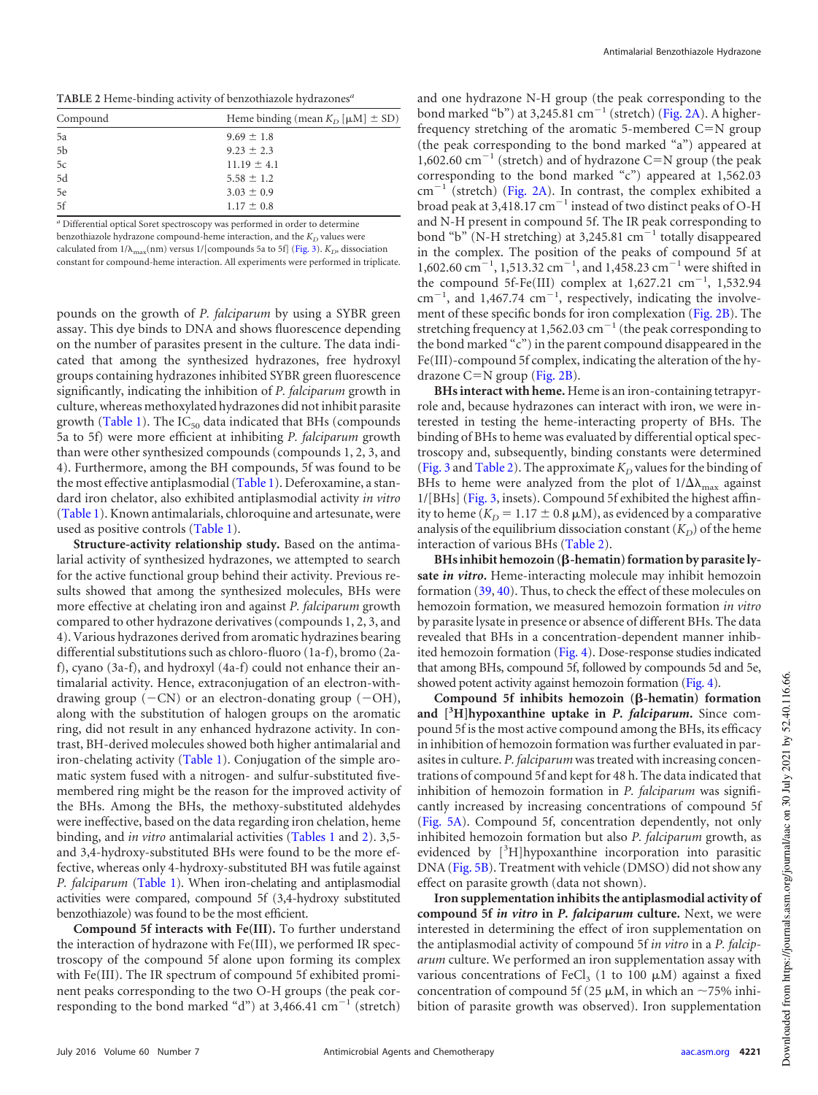<span id="page-4-0"></span>**TABLE 2** Heme-binding activity of benzothiazole hydrazones*<sup>a</sup>*

| Compound       | Heme binding (mean $K_D$ [ $\mu$ M] $\pm$ SD) |
|----------------|-----------------------------------------------|
| 5a             | $9.69 \pm 1.8$                                |
| 5 <sub>b</sub> | $9.23 \pm 2.3$                                |
| 5c             | $11.19 \pm 4.1$                               |
| 5d             | $5.58 \pm 1.2$                                |
| 5e             | $3.03 \pm 0.9$                                |
| 5f             | $1.17 \pm 0.8$                                |

*<sup>a</sup>* Differential optical Soret spectroscopy was performed in order to determine benzothiazole hydrazone compound-heme interaction, and the  $K_D$  values were calculated from  $1/\lambda_{\text{max}}(\text{nm})$  versus  $1/[\text{components 5a to 5f}]$  [\(Fig. 3\)](#page-6-0).  $K_D$ , dissociation constant for compound-heme interaction. All experiments were performed in triplicate.

pounds on the growth of *P. falciparum* by using a SYBR green assay. This dye binds to DNA and shows fluorescence depending on the number of parasites present in the culture. The data indicated that among the synthesized hydrazones, free hydroxyl groups containing hydrazones inhibited SYBR green fluorescence significantly, indicating the inhibition of *P. falciparum* growth in culture, whereas methoxylated hydrazones did not inhibit parasite growth [\(Table 1\)](#page-3-1). The  $IC_{50}$  data indicated that BHs (compounds 5a to 5f) were more efficient at inhibiting *P. falciparum* growth than were other synthesized compounds (compounds 1, 2, 3, and 4). Furthermore, among the BH compounds, 5f was found to be the most effective antiplasmodial [\(Table 1\)](#page-3-1). Deferoxamine, a standard iron chelator, also exhibited antiplasmodial activity *in vitro* [\(Table 1\)](#page-3-1). Known antimalarials, chloroquine and artesunate, were used as positive controls [\(Table 1\)](#page-3-1).

**Structure-activity relationship study.** Based on the antimalarial activity of synthesized hydrazones, we attempted to search for the active functional group behind their activity. Previous results showed that among the synthesized molecules, BHs were more effective at chelating iron and against *P. falciparum* growth compared to other hydrazone derivatives (compounds 1, 2, 3, and 4). Various hydrazones derived from aromatic hydrazines bearing differential substitutions such as chloro-fluoro (1a-f), bromo (2af), cyano (3a-f), and hydroxyl (4a-f) could not enhance their antimalarial activity. Hence, extraconjugation of an electron-withdrawing group  $(-CN)$  or an electron-donating group  $(-OH)$ , along with the substitution of halogen groups on the aromatic ring, did not result in any enhanced hydrazone activity. In contrast, BH-derived molecules showed both higher antimalarial and iron-chelating activity [\(Table 1\)](#page-3-1). Conjugation of the simple aromatic system fused with a nitrogen- and sulfur-substituted fivemembered ring might be the reason for the improved activity of the BHs. Among the BHs, the methoxy-substituted aldehydes were ineffective, based on the data regarding iron chelation, heme binding, and *in vitro* antimalarial activities [\(Tables 1](#page-3-1) and [2\)](#page-4-0). 3,5 and 3,4-hydroxy-substituted BHs were found to be the more effective, whereas only 4-hydroxy-substituted BH was futile against *P. falciparum* [\(Table 1\)](#page-3-1). When iron-chelating and antiplasmodial activities were compared, compound 5f (3,4-hydroxy substituted benzothiazole) was found to be the most efficient.

**Compound 5f interacts with Fe(III).** To further understand the interaction of hydrazone with Fe(III), we performed IR spectroscopy of the compound 5f alone upon forming its complex with Fe(III). The IR spectrum of compound 5f exhibited prominent peaks corresponding to the two O-H groups (the peak corresponding to the bond marked "d") at  $3,466.41 \text{ cm}^{-1}$  (stretch)

and one hydrazone N-H group (the peak corresponding to the bond marked "b") at  $3,245.81$  cm<sup>-1</sup> (stretch) [\(Fig. 2A\)](#page-5-0). A higherfrequency stretching of the aromatic 5-membered  $C=N$  group (the peak corresponding to the bond marked "a") appeared at 1,602.60  $\text{cm}^{-1}$  (stretch) and of hydrazone C=N group (the peak corresponding to the bond marked "c") appeared at 1,562.03 cm<sup>-1</sup> (stretch) [\(Fig. 2A\)](#page-5-0). In contrast, the complex exhibited a broad peak at 3,418.17  $cm^{-1}$  instead of two distinct peaks of O-H and N-H present in compound 5f. The IR peak corresponding to bond "b" (N-H stretching) at 3,245.81 cm 1 totally disappeared in the complex. The position of the peaks of compound 5f at 1,602.60 cm<sup>-1</sup>, 1,513.32 cm<sup>-1</sup>, and 1,458.23 cm<sup>-1</sup> were shifted in the compound  $5f$ -Fe(III) complex at  $1,627.21$   $cm^{-1}$ ,  $1,532.94$  $\text{cm}^{-1}$ , and 1,467.74  $\text{cm}^{-1}$ , respectively, indicating the involvement of these specific bonds for iron complexation [\(Fig. 2B\)](#page-5-0). The stretching frequency at 1,562.03 cm<sup>-1</sup> (the peak corresponding to the bond marked "c") in the parent compound disappeared in the Fe(III)-compound 5f complex, indicating the alteration of the hydrazone  $C=N$  group [\(Fig. 2B\)](#page-5-0).

**BHs interact with heme.** Heme is an iron-containing tetrapyrrole and, because hydrazones can interact with iron, we were interested in testing the heme-interacting property of BHs. The binding of BHs to heme was evaluated by differential optical spectroscopy and, subsequently, binding constants were determined [\(Fig. 3](#page-6-0) and [Table 2\)](#page-4-0). The approximate  $K_D$  values for the binding of BHs to heme were analyzed from the plot of  $1/\Delta\lambda_{\text{max}}$  against 1/[BHs] [\(Fig. 3,](#page-6-0) insets). Compound 5f exhibited the highest affinity to heme  $(K_D = 1.17 \pm 0.8 \,\mu\text{M})$ , as evidenced by a comparative analysis of the equilibrium dissociation constant  $(K_D)$  of the heme interaction of various BHs [\(Table 2\)](#page-4-0).

BHs inhibit hemozoin (β-hematin) formation by parasite ly**sate** *in vitro***.** Heme-interacting molecule may inhibit hemozoin formation [\(39,](#page-11-16) [40\)](#page-11-17). Thus, to check the effect of these molecules on hemozoin formation, we measured hemozoin formation *in vitro* by parasite lysate in presence or absence of different BHs. The data revealed that BHs in a concentration-dependent manner inhibited hemozoin formation [\(Fig. 4\)](#page-7-0). Dose-response studies indicated that among BHs, compound 5f, followed by compounds 5d and 5e, showed potent activity against hemozoin formation [\(Fig. 4\)](#page-7-0).

**Compound 5f inhibits hemozoin (-hematin) formation and [3H]hypoxanthine uptake in** *P. falciparum***.** Since compound 5f is the most active compound among the BHs, its efficacy in inhibition of hemozoin formation was further evaluated in parasites in culture. *P. falciparum* was treated with increasing concentrations of compound 5f and kept for 48 h. The data indicated that inhibition of hemozoin formation in *P. falciparum* was significantly increased by increasing concentrations of compound 5f [\(Fig. 5A\)](#page-7-1). Compound 5f, concentration dependently, not only inhibited hemozoin formation but also *P. falciparum* growth, as evidenced by  $[{}^{3}H]$ hypoxanthine incorporation into parasitic DNA [\(Fig. 5B\)](#page-7-1). Treatment with vehicle (DMSO) did not show any effect on parasite growth (data not shown).

**Iron supplementation inhibits the antiplasmodial activity of compound 5f** *in vitro* **in** *P. falciparum* **culture.** Next, we were interested in determining the effect of iron supplementation on the antiplasmodial activity of compound 5f *in vitro* in a *P. falciparum* culture. We performed an iron supplementation assay with various concentrations of  $\text{FeCl}_3$  (1 to 100  $\mu$ M) against a fixed concentration of compound 5f (25  $\mu$ M, in which an ~75% inhibition of parasite growth was observed). Iron supplementation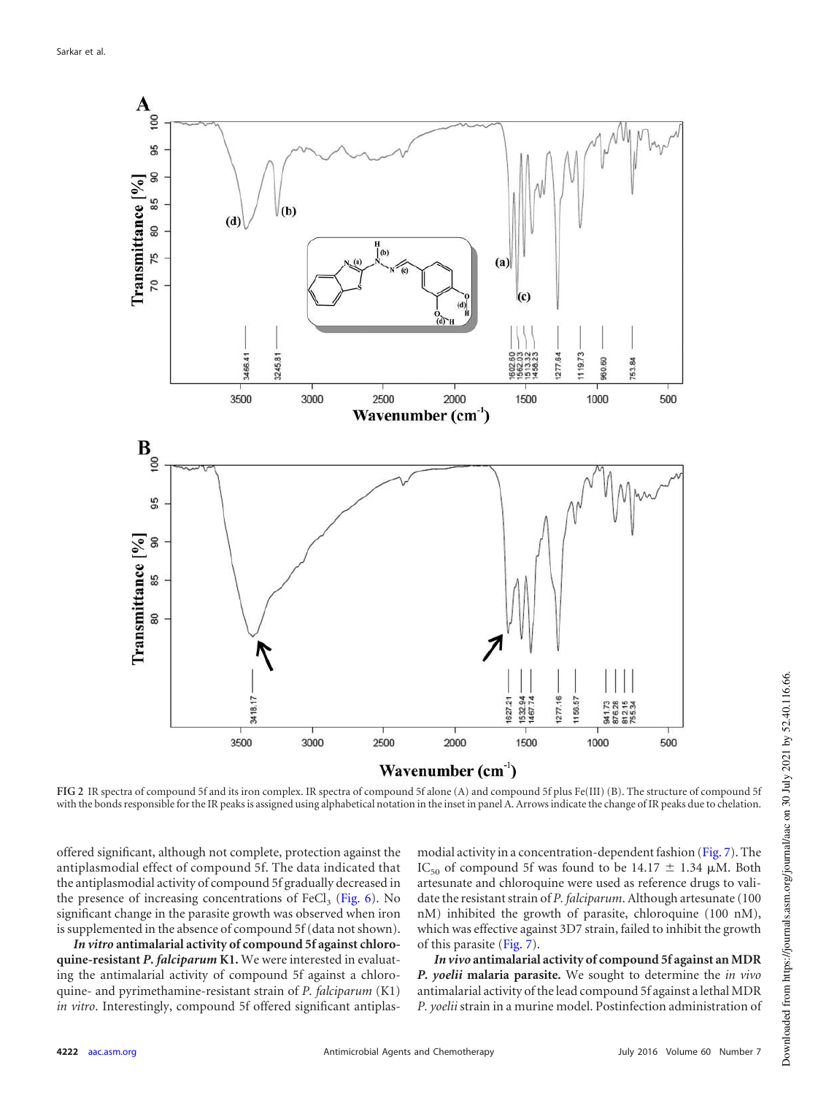

<span id="page-5-0"></span>**FIG 2** IR spectra of compound 5f and its iron complex. IR spectra of compound 5f alone (A) and compound 5f plus Fe(III) (B). The structure of compound 5f with the bonds responsible for the IR peaks is assigned using alphabetical notation in the inset in panel A. Arrows indicate the change of IR peaks due to chelation.

offered significant, although not complete, protection against the antiplasmodial effect of compound 5f. The data indicated that the antiplasmodial activity of compound 5f gradually decreased in the presence of increasing concentrations of  $\text{FeCl}_3$  [\(Fig. 6\)](#page-7-2). No significant change in the parasite growth was observed when iron is supplemented in the absence of compound 5f (data not shown).

*In vitro* **antimalarial activity of compound 5f against chloroquine-resistant** *P. falciparum* **K1.** We were interested in evaluating the antimalarial activity of compound 5f against a chloroquine- and pyrimethamine-resistant strain of *P. falciparum* (K1) *in vitro*. Interestingly, compound 5f offered significant antiplasmodial activity in a concentration-dependent fashion [\(Fig. 7\)](#page-7-3). The IC<sub>50</sub> of compound 5f was found to be 14.17  $\pm$  1.34  $\mu$ M. Both artesunate and chloroquine were used as reference drugs to validate the resistant strain of *P. falciparum*. Although artesunate (100 nM) inhibited the growth of parasite, chloroquine (100 nM), which was effective against 3D7 strain, failed to inhibit the growth of this parasite [\(Fig. 7\)](#page-7-3).

*In vivo* **antimalarial activity of compound 5f against an MDR** *P. yoelii* **malaria parasite.** We sought to determine the *in vivo* antimalarial activity of the lead compound 5f against a lethal MDR *P. yoelii* strain in a murine model. Postinfection administration of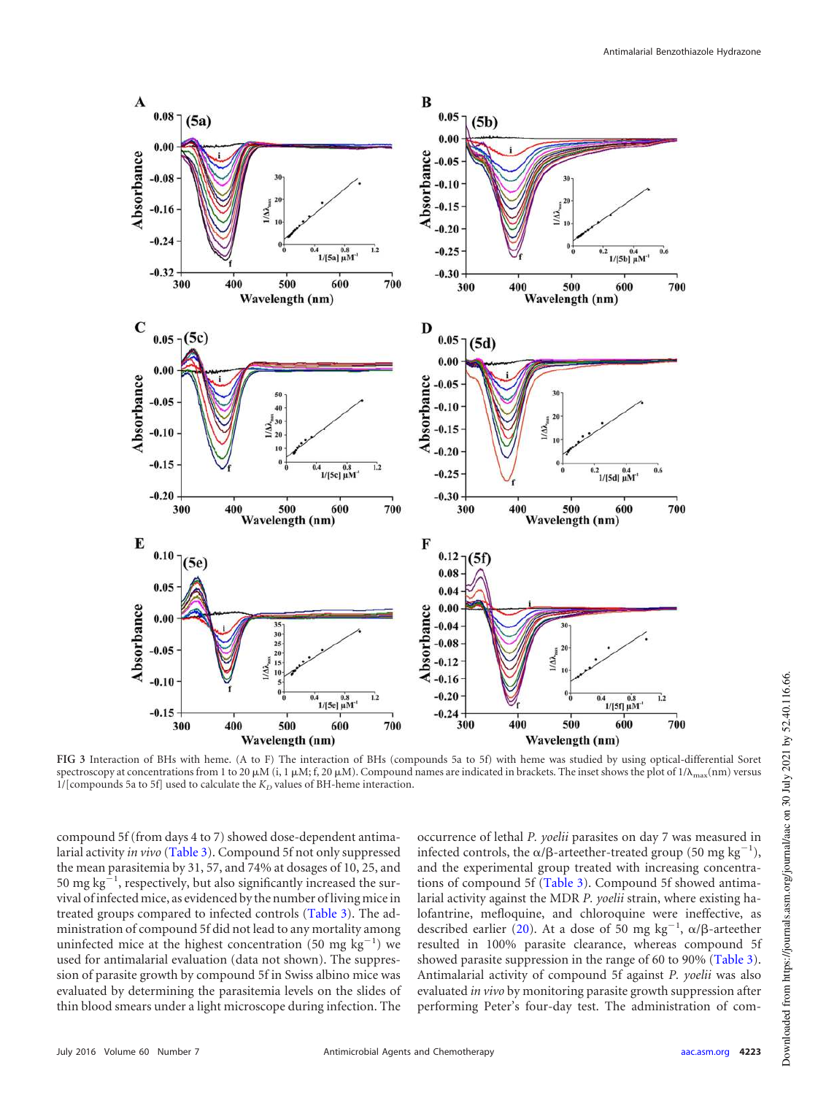

<span id="page-6-0"></span>**FIG 3** Interaction of BHs with heme. (A to F) The interaction of BHs (compounds 5a to 5f) with heme was studied by using optical-differential Soret spectroscopy at concentrations from 1 to 20  $\mu$ M (i, 1  $\mu$ M; f, 20  $\mu$ M). Compound names are indicated in brackets. The inset shows the plot of 1/ $\lambda_{\text{max}}$ (nm) versus  $1/[\hbox{components}$  5a to 5f] used to calculate the  $K_D$  values of BH-heme interaction.

compound 5f (from days 4 to 7) showed dose-dependent antimalarial activity *in vivo* [\(Table 3\)](#page-8-0). Compound 5f not only suppressed the mean parasitemia by 31, 57, and 74% at dosages of 10, 25, and 50 mg  $kg^{-1}$ , respectively, but also significantly increased the survival of infected mice, as evidenced by the number of living mice in treated groups compared to infected controls [\(Table 3\)](#page-8-0). The administration of compound 5f did not lead to any mortality among uninfected mice at the highest concentration (50 mg  $kg^{-1}$ ) we used for antimalarial evaluation (data not shown). The suppression of parasite growth by compound 5f in Swiss albino mice was evaluated by determining the parasitemia levels on the slides of thin blood smears under a light microscope during infection. The occurrence of lethal *P. yoelii* parasites on day 7 was measured in infected controls, the  $\alpha/\beta$ -arteether-treated group (50 mg kg<sup>-</sup> 1 ), and the experimental group treated with increasing concentrations of compound 5f [\(Table 3\)](#page-8-0). Compound 5f showed antimalarial activity against the MDR *P. yoelii* strain, where existing halofantrine, mefloquine, and chloroquine were ineffective, as described earlier [\(20\)](#page-10-18). At a dose of 50 mg kg<sup>-1</sup>,  $\alpha/\beta$ -arteether resulted in 100% parasite clearance, whereas compound 5f showed parasite suppression in the range of 60 to 90% [\(Table 3\)](#page-8-0). Antimalarial activity of compound 5f against *P. yoelii* was also evaluated *in vivo* by monitoring parasite growth suppression after performing Peter's four-day test. The administration of com-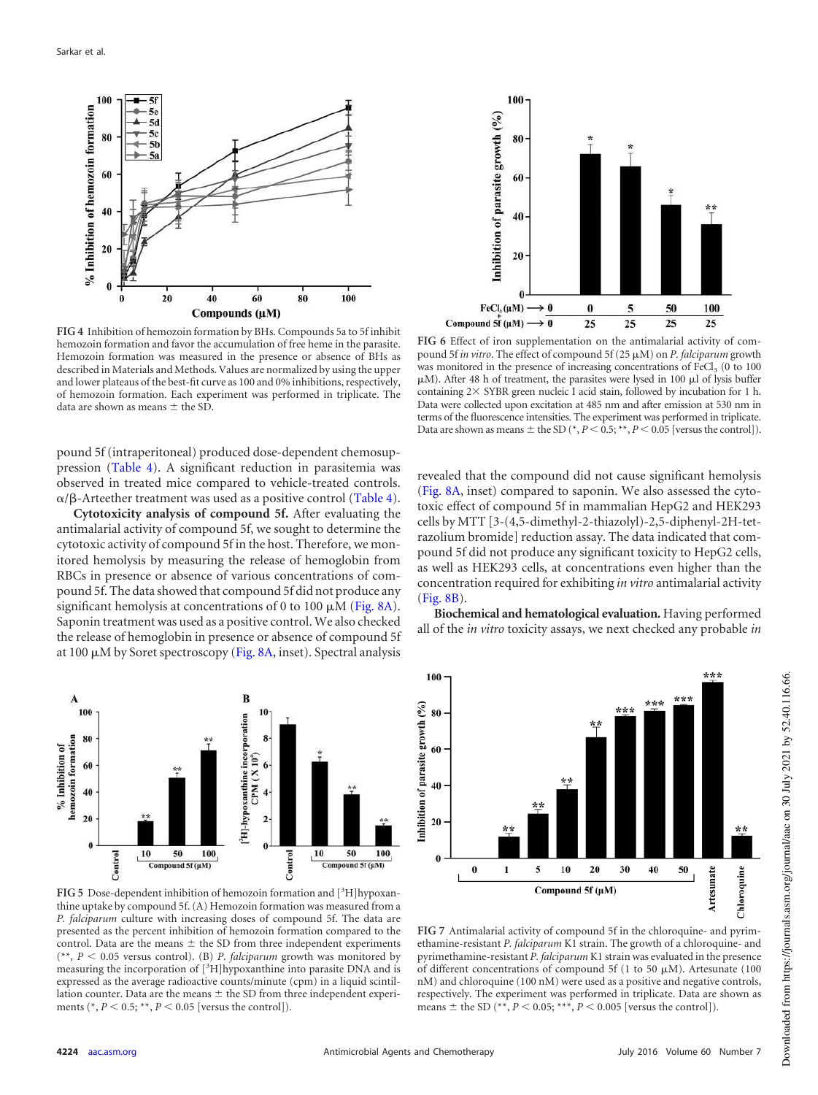

<span id="page-7-0"></span>**FIG 4** Inhibition of hemozoin formation by BHs. Compounds 5a to 5f inhibit hemozoin formation and favor the accumulation of free heme in the parasite. Hemozoin formation was measured in the presence or absence of BHs as described in Materials and Methods. Values are normalized by using the upper and lower plateaus of the best-fit curve as 100 and 0% inhibitions, respectively, of hemozoin formation. Each experiment was performed in triplicate. The data are shown as means  $\pm$  the SD.

pound 5f (intraperitoneal) produced dose-dependent chemosuppression [\(Table 4\)](#page-8-1). A significant reduction in parasitemia was observed in treated mice compared to vehicle-treated controls.  $\alpha/\beta$ -Arteether treatment was used as a positive control [\(Table 4\)](#page-8-1).

**Cytotoxicity analysis of compound 5f.** After evaluating the antimalarial activity of compound 5f, we sought to determine the cytotoxic activity of compound 5f in the host. Therefore, we monitored hemolysis by measuring the release of hemoglobin from RBCs in presence or absence of various concentrations of compound 5f. The data showed that compound 5f did not produce any significant hemolysis at concentrations of 0 to 100  $\mu$ M [\(Fig. 8A\)](#page-9-0). Saponin treatment was used as a positive control. We also checked the release of hemoglobin in presence or absence of compound 5f at 100  $\mu$ M by Soret spectroscopy [\(Fig. 8A,](#page-9-0) inset). Spectral analysis



<span id="page-7-1"></span>**FIG 5** Dose-dependent inhibition of hemozoin formation and  $[{}^{3}H]$ hypoxanthine uptake by compound 5f. (A) Hemozoin formation was measured from a *P. falciparum* culture with increasing doses of compound 5f. The data are presented as the percent inhibition of hemozoin formation compared to the control. Data are the means  $\pm$  the SD from three independent experiments  $(**, P < 0.05$  versus control). (B) *P. falciparum* growth was monitored by measuring the incorporation of [3H]hypoxanthine into parasite DNA and is expressed as the average radioactive counts/minute (cpm) in a liquid scintillation counter. Data are the means  $\pm$  the SD from three independent experiments ( $P < 0.5$ ; \*\*,  $P < 0.05$  [versus the control]).



<span id="page-7-2"></span>**FIG 6** Effect of iron supplementation on the antimalarial activity of compound 5f *in vitro*. The effect of compound 5f (25 M) on *P. falciparum* growth was monitored in the presence of increasing concentrations of  $\text{FeCl}_3$  (0 to 100  $\mu$ M). After 48 h of treatment, the parasites were lysed in 100  $\mu$ l of lysis buffer containing  $2\times$  SYBR green nucleic I acid stain, followed by incubation for 1 h. Data were collected upon excitation at 485 nm and after emission at 530 nm in terms of the fluorescence intensities. The experiment was performed in triplicate. Data are shown as means  $\pm$  the SD ( $\star$ , *P* < 0.5;  $\star\star$ , *P* < 0.05 [versus the control]).

revealed that the compound did not cause significant hemolysis [\(Fig. 8A,](#page-9-0) inset) compared to saponin. We also assessed the cytotoxic effect of compound 5f in mammalian HepG2 and HEK293 cells by MTT [3-(4,5-dimethyl-2-thiazolyl)-2,5-diphenyl-2H-tetrazolium bromide] reduction assay. The data indicated that compound 5f did not produce any significant toxicity to HepG2 cells, as well as HEK293 cells, at concentrations even higher than the concentration required for exhibiting *in vitro* antimalarial activity [\(Fig. 8B\)](#page-9-0).

**Biochemical and hematological evaluation.** Having performed all of the *in vitro* toxicity assays, we next checked any probable *in*



<span id="page-7-3"></span>**FIG 7** Antimalarial activity of compound 5f in the chloroquine- and pyrimethamine-resistant *P. falciparum* K1 strain. The growth of a chloroquine- and pyrimethamine-resistant *P. falciparum* K1 strain was evaluated in the presence of different concentrations of compound 5f (1 to 50  $\mu$ M). Artesunate (100 nM) and chloroquine (100 nM) were used as a positive and negative controls, respectively. The experiment was performed in triplicate. Data are shown as means  $\pm$  the SD (\*\*,  $P < 0.05$ ; \*\*\*,  $P < 0.005$  [versus the control]).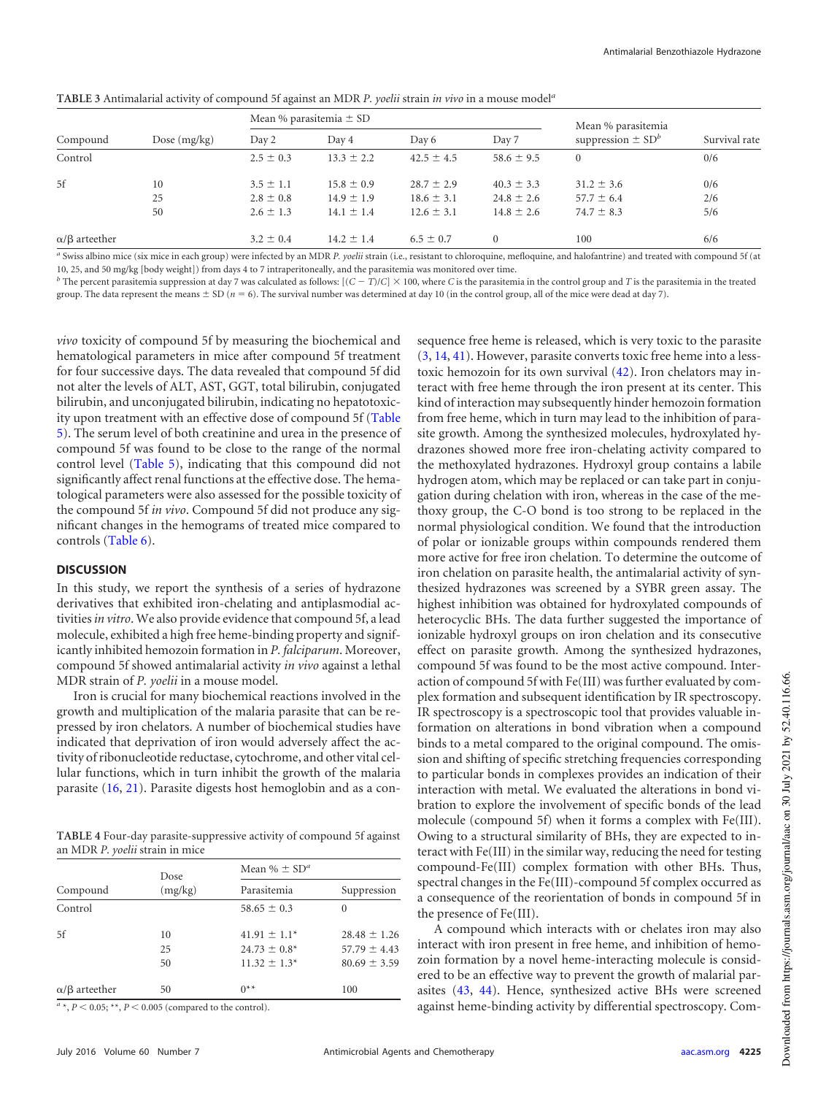|                          |                | Mean % parasitemia $\pm$ SD |                |                |                | Mean % parasitemia                |               |
|--------------------------|----------------|-----------------------------|----------------|----------------|----------------|-----------------------------------|---------------|
| Compound                 | Dose $(mg/kg)$ | Day 2                       | Day 4          | Day 6          | Day 7          | suppression $\pm$ SD <sup>b</sup> | Survival rate |
| Control                  |                | $2.5 \pm 0.3$               | $13.3 \pm 2.2$ | $42.5 \pm 4.5$ | $58.6 \pm 9.5$ | $\Omega$                          | 0/6           |
| 5f                       | 10             | $3.5 \pm 1.1$               | $15.8 \pm 0.9$ | $28.7 \pm 2.9$ | $40.3 \pm 3.3$ | $31.2 \pm 3.6$                    | 0/6           |
|                          | 25             | $2.8 \pm 0.8$               | $14.9 \pm 1.9$ | $18.6 \pm 3.1$ | $24.8 \pm 2.6$ | $57.7 \pm 6.4$                    | 2/6           |
|                          | 50             | $2.6 \pm 1.3$               | $14.1 \pm 1.4$ | $12.6 \pm 3.1$ | $14.8 \pm 2.6$ | $74.7 \pm 8.3$                    | 5/6           |
| $\alpha/\beta$ arteether |                | $3.2 \pm 0.4$               | $14.2 \pm 1.4$ | $6.5 \pm 0.7$  | $\Omega$       | 100                               | 6/6           |

<span id="page-8-0"></span>**TABLE 3** Antimalarial activity of compound 5f against an MDR *P. yoelii* strain *in vivo* in a mouse model*<sup>a</sup>*

*a* Swiss albino mice (six mice in each group) were infected by an MDR *P. yoelii* strain (i.e., resistant to chloroquine, mefloquine, and halofantrine) and treated with compound 5f (at 10, 25, and 50 mg/kg [body weight]) from days 4 to 7 intraperitoneally, and the parasitemia was monitored over time.

 $b$  The percent parasitemia suppression at day 7 was calculated as follows:  $[(C - T)/C] \times 100$ , where *C* is the parasitemia in the control group and *T* is the parasitemia in the treated group. The data represent the means  $\pm$  SD ( $n = 6$ ). The survival number was determined at day 10 (in the control group, all of the mice were dead at day 7).

*vivo* toxicity of compound 5f by measuring the biochemical and hematological parameters in mice after compound 5f treatment for four successive days. The data revealed that compound 5f did not alter the levels of ALT, AST, GGT, total bilirubin, conjugated bilirubin, and unconjugated bilirubin, indicating no hepatotoxicity upon treatment with an effective dose of compound 5f [\(Table](#page-9-1) [5\)](#page-9-1). The serum level of both creatinine and urea in the presence of compound 5f was found to be close to the range of the normal control level [\(Table 5\)](#page-9-1), indicating that this compound did not significantly affect renal functions at the effective dose. The hematological parameters were also assessed for the possible toxicity of the compound 5f *in vivo*. Compound 5f did not produce any significant changes in the hemograms of treated mice compared to controls [\(Table 6\)](#page-9-2).

#### **DISCUSSION**

In this study, we report the synthesis of a series of hydrazone derivatives that exhibited iron-chelating and antiplasmodial activities*in vitro*. We also provide evidence that compound 5f, a lead molecule, exhibited a high free heme-binding property and significantly inhibited hemozoin formation in *P. falciparum*. Moreover, compound 5f showed antimalarial activity *in vivo* against a lethal MDR strain of *P. yoelii* in a mouse model.

Iron is crucial for many biochemical reactions involved in the growth and multiplication of the malaria parasite that can be repressed by iron chelators. A number of biochemical studies have indicated that deprivation of iron would adversely affect the activity of ribonucleotide reductase, cytochrome, and other vital cellular functions, which in turn inhibit the growth of the malaria parasite [\(16,](#page-10-13) [21\)](#page-10-19). Parasite digests host hemoglobin and as a con-

<span id="page-8-1"></span>**TABLE 4** Four-day parasite-suppressive activity of compound 5f against an MDR *P. yoelii* strain in mice

|                          | Dose           | Mean % $\pm$ SD <sup>a</sup>                               |                                                          |  |
|--------------------------|----------------|------------------------------------------------------------|----------------------------------------------------------|--|
| Compound                 | (mg/kg)        | Parasitemia                                                | Suppression                                              |  |
| Control                  |                | $58.65 \pm 0.3$                                            | 0                                                        |  |
| 5f                       | 10<br>25<br>50 | $41.91 \pm 1.1*$<br>$24.73 \pm 0.8^*$<br>$11.32 \pm 1.3^*$ | $28.48 \pm 1.26$<br>$57.79 \pm 4.43$<br>$80.69 \pm 3.59$ |  |
| $\alpha/\beta$ arteether | 50             | $0**$                                                      | 100                                                      |  |

 $a^a$ ,  $P < 0.05$ ; \*\*,  $P < 0.005$  (compared to the control).

| kind of interaction may subsequently hinder hemozoin formation        |
|-----------------------------------------------------------------------|
| from free heme, which in turn may lead to the inhibition of para-     |
| site growth. Among the synthesized molecules, hydroxylated hy-        |
| drazones showed more free iron-chelating activity compared to         |
| the methoxylated hydrazones. Hydroxyl group contains a labile         |
| hydrogen atom, which may be replaced or can take part in conju-       |
| gation during chelation with iron, whereas in the case of the me-     |
| thoxy group, the C-O bond is too strong to be replaced in the         |
| normal physiological condition. We found that the introduction        |
| of polar or ionizable groups within compounds rendered them           |
| more active for free iron chelation. To determine the outcome of      |
| iron chelation on parasite health, the antimalarial activity of syn-  |
| thesized hydrazones was screened by a SYBR green assay. The           |
| highest inhibition was obtained for hydroxylated compounds of         |
| heterocyclic BHs. The data further suggested the importance of        |
| ionizable hydroxyl groups on iron chelation and its consecutive       |
| effect on parasite growth. Among the synthesized hydrazones,          |
| compound 5f was found to be the most active compound. Inter-          |
| action of compound 5f with Fe(III) was further evaluated by com-      |
| plex formation and subsequent identification by IR spectroscopy.      |
| IR spectroscopy is a spectroscopic tool that provides valuable in-    |
| formation on alterations in bond vibration when a compound            |
| binds to a metal compared to the original compound. The omis-         |
| sion and shifting of specific stretching frequencies corresponding    |
| to particular bonds in complexes provides an indication of their      |
| interaction with metal. We evaluated the alterations in bond vi-      |
| bration to explore the involvement of specific bonds of the lead      |
| molecule (compound 5f) when it forms a complex with Fe(III).          |
| Owing to a structural similarity of BHs, they are expected to in-     |
| teract with Fe(III) in the similar way, reducing the need for testing |
| compound-Fe(III) complex formation with other BHs. Thus,              |
| spectral changes in the Fe(III)-compound 5f complex occurred as       |
| a consequence of the reorientation of bonds in compound 5f in         |
| the presence of Fe(III).                                              |

sequence free heme is released, which is very toxic to the parasite [\(3,](#page-10-2) [14,](#page-10-16) [41\)](#page-11-18). However, parasite converts toxic free heme into a lesstoxic hemozoin for its own survival [\(42\)](#page-11-19). Iron chelators may interact with free heme through the iron present at its center. This

A compound which interacts with or chelates iron may also interact with iron present in free heme, and inhibition of hemozoin formation by a novel heme-interacting molecule is considered to be an effective way to prevent the growth of malarial parasites [\(43,](#page-11-20) [44\)](#page-11-21). Hence, synthesized active BHs were screened against heme-binding activity by differential spectroscopy. Com-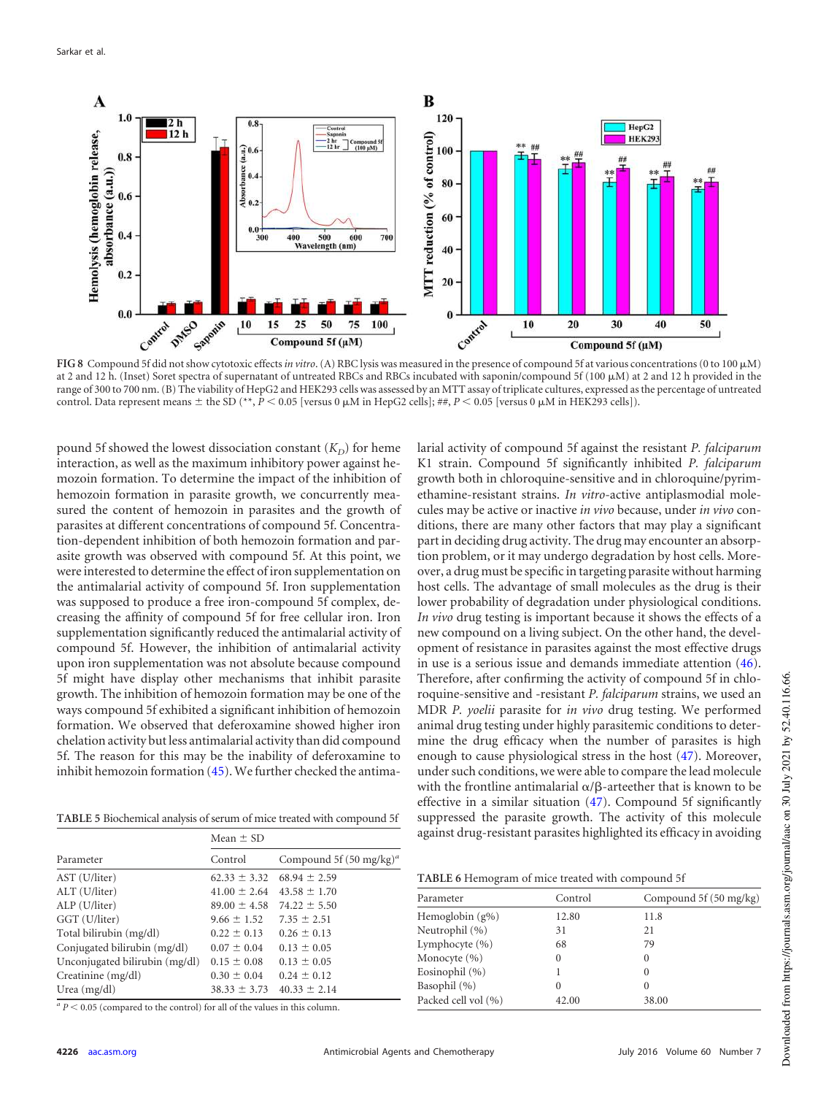

<span id="page-9-0"></span>FIG 8 Compound 5f did not show cytotoxic effects in vitro. (A) RBC lysis was measured in the presence of compound 5f at various concentrations (0 to 100  $\mu$ M) at 2 and 12 h. (Inset) Soret spectra of supernatant of untreated RBCs and RBCs incubated with saponin/compound 5f (100  $\mu$ M) at 2 and 12 h provided in the range of 300 to 700 nm. (B) The viability of HepG2 and HEK293 cells was assessed by an MTT assay of triplicate cultures, expressed as the percentage of untreated control. Data represent means  $\pm$  the SD (\*\*, *P* < 0.05 [versus 0  $\mu$ M in HepG2 cells]; ##, *P* < 0.05 [versus 0  $\mu$ M in HEK293 cells]).

pound 5f showed the lowest dissociation constant  $(K_D)$  for heme interaction, as well as the maximum inhibitory power against hemozoin formation. To determine the impact of the inhibition of hemozoin formation in parasite growth, we concurrently measured the content of hemozoin in parasites and the growth of parasites at different concentrations of compound 5f. Concentration-dependent inhibition of both hemozoin formation and parasite growth was observed with compound 5f. At this point, we were interested to determine the effect of iron supplementation on the antimalarial activity of compound 5f. Iron supplementation was supposed to produce a free iron-compound 5f complex, decreasing the affinity of compound 5f for free cellular iron. Iron supplementation significantly reduced the antimalarial activity of compound 5f. However, the inhibition of antimalarial activity upon iron supplementation was not absolute because compound 5f might have display other mechanisms that inhibit parasite growth. The inhibition of hemozoin formation may be one of the ways compound 5f exhibited a significant inhibition of hemozoin formation. We observed that deferoxamine showed higher iron chelation activity but less antimalarial activity than did compound 5f. The reason for this may be the inability of deferoxamine to inhibit hemozoin formation [\(45\)](#page-11-22). We further checked the antima-

<span id="page-9-1"></span>**TABLE 5** Biochemical analysis of serum of mice treated with compound 5f

|                                | Mean $\pm$ SD    |                                    |  |
|--------------------------------|------------------|------------------------------------|--|
| Parameter                      | Control          | Compound 5f $(50 \text{ mg/kg})^a$ |  |
| AST (U/liter)                  | $62.33 \pm 3.32$ | $68.94 \pm 2.59$                   |  |
| ALT (U/liter)                  | $41.00 \pm 2.64$ | $43.58 \pm 1.70$                   |  |
| ALP (U/liter)                  | $89.00 \pm 4.58$ | $74.22 \pm 5.50$                   |  |
| GGT (U/liter)                  | $9.66 \pm 1.52$  | $7.35 \pm 2.51$                    |  |
| Total bilirubin (mg/dl)        | $0.22 \pm 0.13$  | $0.26 \pm 0.13$                    |  |
| Conjugated bilirubin (mg/dl)   | $0.07 \pm 0.04$  | $0.13 \pm 0.05$                    |  |
| Unconjugated bilirubin (mg/dl) | $0.15 \pm 0.08$  | $0.13 \pm 0.05$                    |  |
| Creatinine (mg/dl)             | $0.30 \pm 0.04$  | $0.24 \pm 0.12$                    |  |
| Urea $(mg/dl)$                 | $38.33 \pm 3.73$ | $40.33 \pm 2.14$                   |  |

 $a$   $P$  < 0.05 (compared to the control) for all of the values in this column.

larial activity of compound 5f against the resistant *P. falciparum* K1 strain. Compound 5f significantly inhibited *P. falciparum* growth both in chloroquine-sensitive and in chloroquine/pyrimethamine-resistant strains. *In vitro*-active antiplasmodial molecules may be active or inactive *in vivo* because, under *in vivo* conditions, there are many other factors that may play a significant part in deciding drug activity. The drug may encounter an absorption problem, or it may undergo degradation by host cells. Moreover, a drug must be specific in targeting parasite without harming host cells. The advantage of small molecules as the drug is their lower probability of degradation under physiological conditions. *In vivo* drug testing is important because it shows the effects of a new compound on a living subject. On the other hand, the development of resistance in parasites against the most effective drugs in use is a serious issue and demands immediate attention [\(46\)](#page-11-23). Therefore, after confirming the activity of compound 5f in chloroquine-sensitive and -resistant *P. falciparum* strains, we used an MDR *P. yoelii* parasite for *in vivo* drug testing. We performed animal drug testing under highly parasitemic conditions to determine the drug efficacy when the number of parasites is high enough to cause physiological stress in the host [\(47\)](#page-11-24). Moreover, under such conditions, we were able to compare the lead molecule with the frontline antimalarial  $\alpha/\beta$ -arteether that is known to be effective in a similar situation [\(47\)](#page-11-24). Compound 5f significantly suppressed the parasite growth. The activity of this molecule against drug-resistant parasites highlighted its efficacy in avoiding

<span id="page-9-2"></span>**TABLE 6** Hemogram of mice treated with compound 5f

| Parameter           | Control  | Compound $5f(50 \text{ mg/kg})$ |
|---------------------|----------|---------------------------------|
| Hemoglobin $(g\%)$  | 12.80    | 11.8                            |
| Neutrophil (%)      | 31       | 21                              |
| Lymphocyte (%)      | 68       | 79                              |
| Monocyte $(\% )$    | $^{(1)}$ | $\Omega$                        |
| Eosinophil $(\% )$  |          | $\Omega$                        |
| Basophil (%)        | $\Omega$ | $\Omega$                        |
| Packed cell vol (%) | 42.00    | 38.00                           |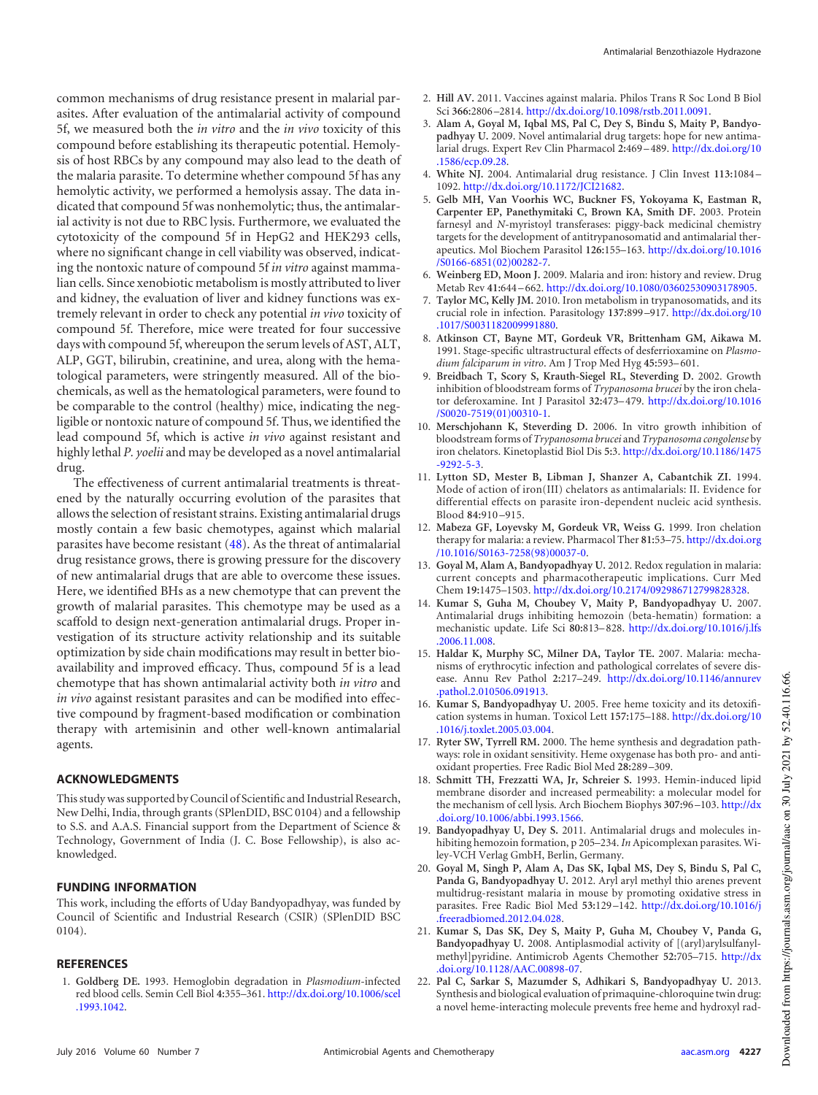common mechanisms of drug resistance present in malarial parasites. After evaluation of the antimalarial activity of compound 5f, we measured both the *in vitro* and the *in vivo* toxicity of this compound before establishing its therapeutic potential. Hemolysis of host RBCs by any compound may also lead to the death of the malaria parasite. To determine whether compound 5f has any hemolytic activity, we performed a hemolysis assay. The data indicated that compound 5f was nonhemolytic; thus, the antimalarial activity is not due to RBC lysis. Furthermore, we evaluated the cytotoxicity of the compound 5f in HepG2 and HEK293 cells, where no significant change in cell viability was observed, indicating the nontoxic nature of compound 5f *in vitro* against mammalian cells. Since xenobiotic metabolism is mostly attributed to liver and kidney, the evaluation of liver and kidney functions was extremely relevant in order to check any potential *in vivo* toxicity of compound 5f. Therefore, mice were treated for four successive days with compound 5f, whereupon the serum levels of AST, ALT, ALP, GGT, bilirubin, creatinine, and urea, along with the hematological parameters, were stringently measured. All of the biochemicals, as well as the hematological parameters, were found to be comparable to the control (healthy) mice, indicating the negligible or nontoxic nature of compound 5f. Thus, we identified the lead compound 5f, which is active *in vivo* against resistant and highly lethal *P. yoelii* and may be developed as a novel antimalarial drug.

The effectiveness of current antimalarial treatments is threatened by the naturally occurring evolution of the parasites that allows the selection of resistant strains. Existing antimalarial drugs mostly contain a few basic chemotypes, against which malarial parasites have become resistant [\(48\)](#page-11-25). As the threat of antimalarial drug resistance grows, there is growing pressure for the discovery of new antimalarial drugs that are able to overcome these issues. Here, we identified BHs as a new chemotype that can prevent the growth of malarial parasites. This chemotype may be used as a scaffold to design next-generation antimalarial drugs. Proper investigation of its structure activity relationship and its suitable optimization by side chain modifications may result in better bioavailability and improved efficacy. Thus, compound 5f is a lead chemotype that has shown antimalarial activity both *in vitro* and *in vivo* against resistant parasites and can be modified into effective compound by fragment-based modification or combination therapy with artemisinin and other well-known antimalarial agents.

## **ACKNOWLEDGMENTS**

This study was supported by Council of Scientific and Industrial Research, New Delhi, India, through grants (SPlenDID, BSC 0104) and a fellowship to S.S. and A.A.S. Financial support from the Department of Science & Technology, Government of India (J. C. Bose Fellowship), is also acknowledged.

## **FUNDING INFORMATION**

This work, including the efforts of Uday Bandyopadhyay, was funded by Council of Scientific and Industrial Research (CSIR) (SPlenDID BSC 0104).

## <span id="page-10-0"></span>**REFERENCES**

1. **Goldberg DE.** 1993. Hemoglobin degradation in *Plasmodium*-infected red blood cells. Semin Cell Biol **4:**355–361. http://dx.doi.org/10.1006/scel .1993.1042.

- <span id="page-10-1"></span>2. **Hill AV.** 2011. Vaccines against malaria. Philos Trans R Soc Lond B Biol Sci **366:**2806 –2814. http://dx.doi.org/10.1098/rstb.2011.0091.
- <span id="page-10-2"></span>3. **Alam A, Goyal M, Iqbal MS, Pal C, Dey S, Bindu S, Maity P, Bandyopadhyay U.** 2009. Novel antimalarial drug targets: hope for new antimalarial drugs. Expert Rev Clin Pharmacol **2:**469 –489. http://dx.doi.org/10 .1586/ecp.09.28.
- <span id="page-10-4"></span><span id="page-10-3"></span>4. **White NJ.** 2004. Antimalarial drug resistance. J Clin Invest **113:**1084 – 1092. http://dx.doi.org/10.1172/JCI21682.
- 5. **Gelb MH, Van Voorhis WC, Buckner FS, Yokoyama K, Eastman R, Carpenter EP, Panethymitaki C, Brown KA, Smith DF.** 2003. Protein farnesyl and *N*-myristoyl transferases: piggy-back medicinal chemistry targets for the development of antitrypanosomatid and antimalarial therapeutics. Mol Biochem Parasitol **126:**155–163. http://dx.doi.org/10.1016 /S0166-6851(02)00282-7.
- <span id="page-10-6"></span><span id="page-10-5"></span>6. **Weinberg ED, Moon J.** 2009. Malaria and iron: history and review. Drug Metab Rev **41:**644 –662. http://dx.doi.org/10.1080/03602530903178905.
- 7. **Taylor MC, Kelly JM.** 2010. Iron metabolism in trypanosomatids, and its crucial role in infection. Parasitology **137:**899 –917. http://dx.doi.org/10 .1017/S0031182009991880.
- <span id="page-10-7"></span>8. **Atkinson CT, Bayne MT, Gordeuk VR, Brittenham GM, Aikawa M.** 1991. Stage-specific ultrastructural effects of desferrioxamine on *Plasmodium falciparum in vitro*. Am J Trop Med Hyg **45:**593–601.
- 9. **Breidbach T, Scory S, Krauth-Siegel RL, Steverding D.** 2002. Growth inhibition of bloodstream forms of *Trypanosoma brucei* by the iron chelator deferoxamine. Int J Parasitol **32:**473–479. http://dx.doi.org/10.1016 /S0020-7519(01)00310-1.
- <span id="page-10-8"></span>10. **Merschjohann K, Steverding D.** 2006. In vitro growth inhibition of bloodstream forms of *Trypanosoma brucei* and *Trypanosoma congolense* by iron chelators. Kinetoplastid Biol Dis **5:**3. http://dx.doi.org/10.1186/1475 -9292-5-3.
- <span id="page-10-9"></span>11. **Lytton SD, Mester B, Libman J, Shanzer A, Cabantchik ZI.** 1994. Mode of action of iron(III) chelators as antimalarials: II. Evidence for differential effects on parasite iron-dependent nucleic acid synthesis. Blood **84:**910 –915.
- <span id="page-10-10"></span>12. **Mabeza GF, Loyevsky M, Gordeuk VR, Weiss G.** 1999. Iron chelation therapy for malaria: a review. Pharmacol Ther **81:**53–75. http://dx.doi.org /10.1016/S0163-7258(98)00037-0.
- <span id="page-10-11"></span>13. **Goyal M, Alam A, Bandyopadhyay U.** 2012. Redox regulation in malaria: current concepts and pharmacotherapeutic implications. Curr Med Chem **19:**1475–1503. http://dx.doi.org/10.2174/092986712799828328.
- <span id="page-10-16"></span>14. **Kumar S, Guha M, Choubey V, Maity P, Bandyopadhyay U.** 2007. Antimalarial drugs inhibiting hemozoin (beta-hematin) formation: a mechanistic update. Life Sci **80:**813–828. http://dx.doi.org/10.1016/j.lfs .2006.11.008.
- <span id="page-10-12"></span>15. **Haldar K, Murphy SC, Milner DA, Taylor TE.** 2007. Malaria: mechanisms of erythrocytic infection and pathological correlates of severe disease. Annu Rev Pathol **2:**217–249. http://dx.doi.org/10.1146/annurev .pathol.2.010506.091913.
- <span id="page-10-14"></span><span id="page-10-13"></span>16. **Kumar S, Bandyopadhyay U.** 2005. Free heme toxicity and its detoxification systems in human. Toxicol Lett **157:**175–188. http://dx.doi.org/10 .1016/j.toxlet.2005.03.004.
- <span id="page-10-15"></span>17. **Ryter SW, Tyrrell RM.** 2000. The heme synthesis and degradation pathways: role in oxidant sensitivity. Heme oxygenase has both pro- and antioxidant properties. Free Radic Biol Med **28:**289 –309.
- 18. **Schmitt TH, Frezzatti WA, Jr, Schreier S.** 1993. Hemin-induced lipid membrane disorder and increased permeability: a molecular model for the mechanism of cell lysis. Arch Biochem Biophys **307:**96 –103. http://dx .doi.org/10.1006/abbi.1993.1566.
- <span id="page-10-18"></span><span id="page-10-17"></span>19. **Bandyopadhyay U, Dey S.** 2011. Antimalarial drugs and molecules inhibiting hemozoin formation, p 205–234. *In* Apicomplexan parasites. Wiley-VCH Verlag GmbH, Berlin, Germany.
- 20. **Goyal M, Singh P, Alam A, Das SK, Iqbal MS, Dey S, Bindu S, Pal C, Panda G, Bandyopadhyay U.** 2012. Aryl aryl methyl thio arenes prevent multidrug-resistant malaria in mouse by promoting oxidative stress in parasites. Free Radic Biol Med **53:**129 –142. http://dx.doi.org/10.1016/j .freeradbiomed.2012.04.028.
- <span id="page-10-19"></span>21. **Kumar S, Das SK, Dey S, Maity P, Guha M, Choubey V, Panda G, Bandyopadhyay U.** 2008. Antiplasmodial activity of [(aryl)arylsulfanylmethyl]pyridine. Antimicrob Agents Chemother **52:**705–715. http://dx .doi.org/10.1128/AAC.00898-07.
- <span id="page-10-20"></span>22. **Pal C, Sarkar S, Mazumder S, Adhikari S, Bandyopadhyay U.** 2013. Synthesis and biological evaluation of primaquine-chloroquine twin drug: a novel heme-interacting molecule prevents free heme and hydroxyl rad-